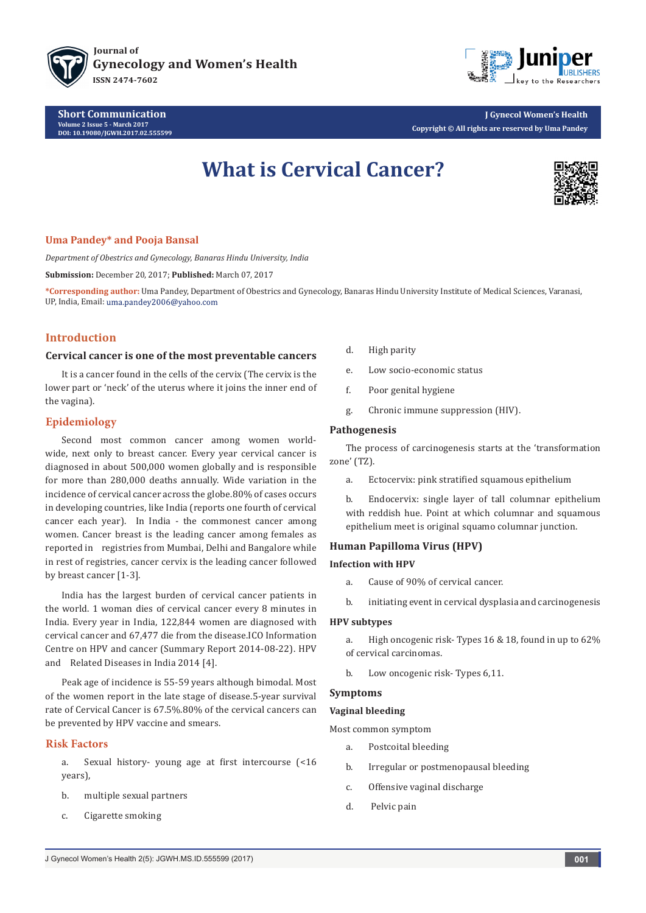

**Short Communication Volume 2 Issue 5 - March 2017 [DOI:](DOI: 10.19080/JGWH.2017.02.555579) [10.19080/JGWH.2017.02.555599](http://dx.doi.org/10.19080/jgwh.2017.02.555599
)**



**J Gynecol Women's Health Copyright © All rights are reserved by Uma Pandey**

# **What is Cervical Cancer?**



## **Uma Pandey\* and Pooja Bansal**

*Department of Obestrics and Gynecology, Banaras Hindu University, India*

**Submission:** December 20, 2017; **Published:** March 07, 2017

**\*Corresponding author:** Uma Pandey, Department of Obestrics and Gynecology, Banaras Hindu University Institute of Medical Sciences, Varanasi, UP, India, Email: uma.pandey2006@yahoo.com

# **Introduction**

## **Cervical cancer is one of the most preventable cancers**

It is a cancer found in the cells of the cervix (The cervix is the lower part or 'neck' of the uterus where it joins the inner end of the vagina).

## **Epidemiology**

Second most common cancer among women worldwide, next only to breast cancer. Every year cervical cancer is diagnosed in about 500,000 women globally and is responsible for more than 280,000 deaths annually. Wide variation in the incidence of cervical cancer across the globe.80% of cases occurs in developing countries, like India (reports one fourth of cervical cancer each year). In India - the commonest cancer among women. Cancer breast is the leading cancer among females as reported in registries from Mumbai, Delhi and Bangalore while in rest of registries, cancer cervix is the leading cancer followed by breast cancer [1-3].

India has the largest burden of cervical cancer patients in the world. 1 woman dies of cervical cancer every 8 minutes in India. Every year in India, 122,844 women are diagnosed with cervical cancer and 67,477 die from the disease.ICO Information Centre on HPV and cancer (Summary Report 2014-08-22). HPV and Related Diseases in India 2014 [4].

Peak age of incidence is 55-59 years although bimodal. Most of the women report in the late stage of disease.5-year survival rate of Cervical Cancer is 67.5%.80% of the cervical cancers can be prevented by HPV vaccine and smears.

# **Risk Factors**

a. Sexual history- young age at first intercourse (<16 years),

- b. multiple sexual partners
- c. Cigarette smoking
- d. High parity
- e. Low socio-economic status
- f. Poor genital hygiene
- g. Chronic immune suppression (HIV).

## **Pathogenesis**

The process of carcinogenesis starts at the 'transformation zone' (TZ).

a. Ectocervix: pink stratified squamous epithelium

b. Endocervix: single layer of tall columnar epithelium with reddish hue. Point at which columnar and squamous epithelium meet is original squamo columnar junction.

## **Human Papilloma Virus (HPV)**

## **Infection with HPV**

- a. Cause of 90% of cervical cancer.
- b. initiating event in cervical dysplasia and carcinogenesis

#### **HPV subtypes**

- a. High oncogenic risk- Types 16 & 18, found in up to 62% of cervical carcinomas.
- b. Low oncogenic risk- Types 6,11.

## **Symptoms**

#### **Vaginal bleeding**

Most common symptom

- a. Postcoital bleeding
- b. Irregular or postmenopausal bleeding
- c. Offensive vaginal discharge
- d. Pelvic pain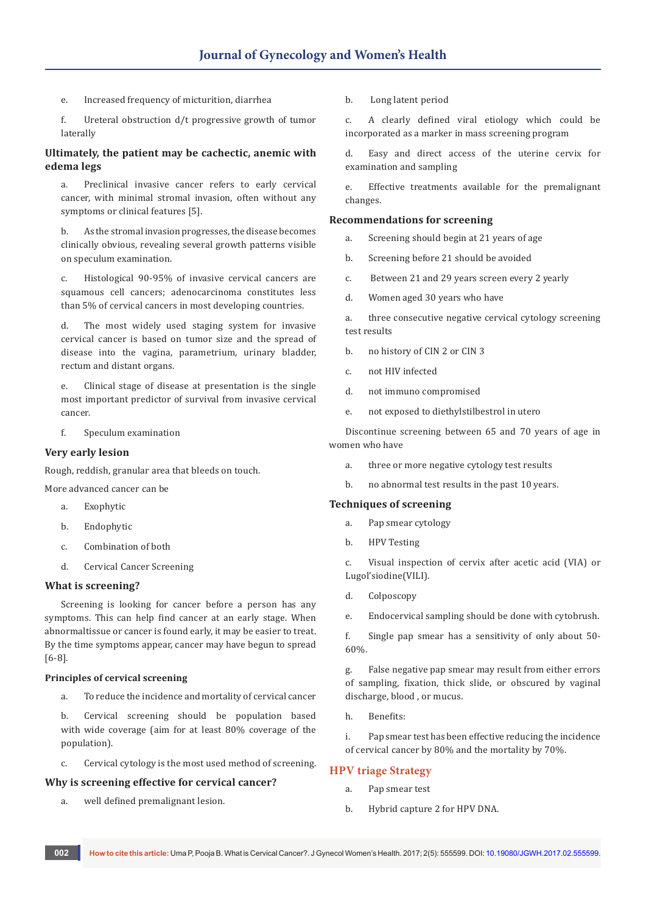- e. Increased frequency of micturition, diarrhea
- f. Ureteral obstruction d/t progressive growth of tumor laterally

# **Ultimately, the patient may be cachectic, anemic with edema legs**

a. Preclinical invasive cancer refers to early cervical cancer, with minimal stromal invasion, often without any symptoms or clinical features [5].

b. As the stromal invasion progresses, the disease becomes clinically obvious, revealing several growth patterns visible on speculum examination.

c. Histological 90-95% of invasive cervical cancers are squamous cell cancers; adenocarcinoma constitutes less than 5% of cervical cancers in most developing countries.

d. The most widely used staging system for invasive cervical cancer is based on tumor size and the spread of disease into the vagina, parametrium, urinary bladder, rectum and distant organs.

e. Clinical stage of disease at presentation is the single most important predictor of survival from invasive cervical cancer.

f. Speculum examination

# **Very early lesion**

Rough, reddish, granular area that bleeds on touch.

More advanced cancer can be

- a. Exophytic
- b. Endophytic
- c. Combination of both
- d. Cervical Cancer Screening

## **What is screening?**

Screening is looking for cancer before a person has any symptoms. This can help find cancer at an early stage. When abnormaltissue or cancer is found early, it may be easier to treat. By the time symptoms appear, cancer may have begun to spread [6-8].

## **Principles of cervical screening**

a. To reduce the incidence and mortality of cervical cancer

b. Cervical screening should be population based with wide coverage (aim for at least 80% coverage of the population).

c. Cervical cytology is the most used method of screening.

## **Why is screening effective for cervical cancer?**

a. well defined premalignant lesion.

b. Long latent period

c. A clearly defined viral etiology which could be incorporated as a marker in mass screening program

d. Easy and direct access of the uterine cervix for examination and sampling

e. Effective treatments available for the premalignant changes.

## **Recommendations for screening**

- a. Screening should begin at 21 years of age
- b. Screening before 21 should be avoided
- c. Between 21 and 29 years screen every 2 yearly
- d. Women aged 30 years who have

a. three consecutive negative cervical cytology screening test results

- b. no history of CIN 2 or CIN 3
- c. not HIV infected
- d. not immuno compromised
- e. not exposed to diethylstilbestrol in utero

Discontinue screening between 65 and 70 years of age in women who have

- a. three or more negative cytology test results
- b. no abnormal test results in the past 10 years.

## **Techniques of screening**

- a. Pap smear cytology
- b. HPV Testing

c. Visual inspection of cervix after acetic acid (VIA) or Lugol'siodine(VILI).

- d. Colposcopy
- e. Endocervical sampling should be done with cytobrush.

f. Single pap smear has a sensitivity of only about 50- 60%.

g. False negative pap smear may result from either errors of sampling, fixation, thick slide, or obscured by vaginal discharge, blood , or mucus.

h Renefits:

i. Pap smear test has been effective reducing the incidence of cervical cancer by 80% and the mortality by 70%.

## **HPV triage Strategy**

- a. Pap smear test
- b. Hybrid capture 2 for HPV DNA.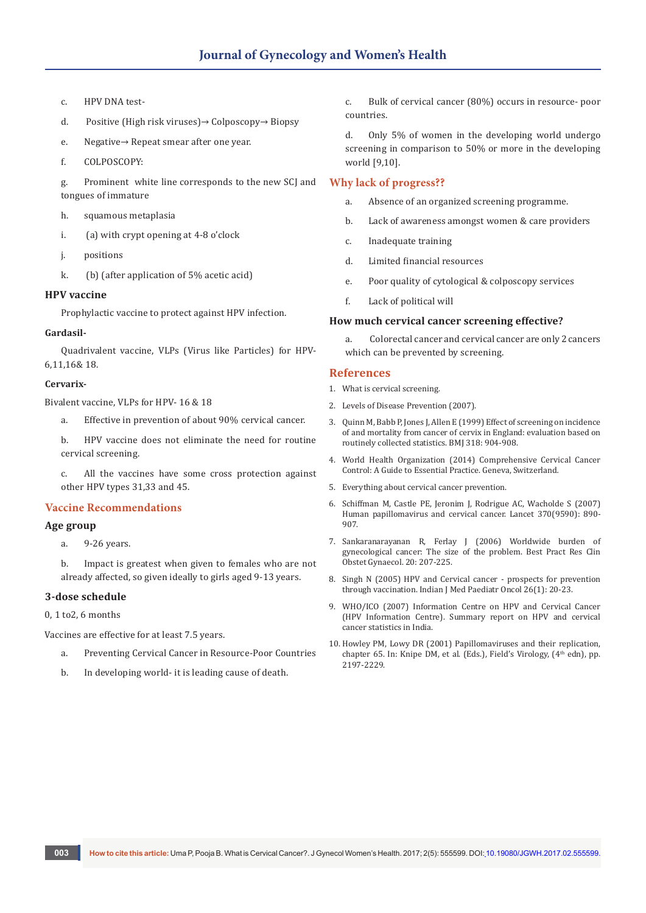- c. HPV DNA test-
- d. Positive (High risk viruses)→ Colposcopy→ Biopsy
- e. Negative→ Repeat smear after one year.
- f. COLPOSCOPY:

g. Prominent white line corresponds to the new SCJ and tongues of immature

- h. squamous metaplasia
- i. (a) with crypt opening at 4-8 o'clock
- j. positions
- k. (b) (after application of 5% acetic acid)

## **HPV vaccine**

Prophylactic vaccine to protect against HPV infection.

#### **Gardasil-**

Quadrivalent vaccine, VLPs (Virus like Particles) for HPV-6,11,16& 18.

## **Cervarix-**

Bivalent vaccine, VLPs for HPV- 16 & 18

- a. Effective in prevention of about 90% cervical cancer.
- b. HPV vaccine does not eliminate the need for routine cervical screening.

c. All the vaccines have some cross protection against other HPV types 31,33 and 45.

## **Vaccine Recommendations**

## **Age group**

a. 9-26 years.

b. Impact is greatest when given to females who are not already affected, so given ideally to girls aged 9-13 years.

## **3-dose schedule**

0, 1 to2, 6 months

Vaccines are effective for at least 7.5 years.

- a. Preventing Cervical Cancer in Resource-Poor Countries
- b. In developing world- it is leading cause of death.

c. Bulk of cervical cancer (80%) occurs in resource- poor countries.

d. Only 5% of women in the developing world undergo screening in comparison to 50% or more in the developing world [9,10].

# **Why lack of progress??**

- a. Absence of an organized screening programme.
- b. Lack of awareness amongst women & care providers
- c. Inadequate training
- d. Limited financial resources
- e. Poor quality of cytological & colposcopy services
- f. Lack of political will

#### **How much cervical cancer screening effective?**

a. Colorectal cancer and cervical cancer are only 2 cancers which can be prevented by screening.

## **References**

- 1. What is cervical screening.
- 2. Levels of Disease Prevention (2007).
- 3. [Quinn M, Babb P, Jones J, Allen E \(1999\)](https://www.ncbi.nlm.nih.gov/pubmed/10102852) Effect of screening on incidence [of and mortality from cancer of cervix in England: evaluation based on](https://www.ncbi.nlm.nih.gov/pubmed/10102852)  [routinely collected statistics.](https://www.ncbi.nlm.nih.gov/pubmed/10102852) BMJ 318: 904-908.
- 4. World Health Organization (2014) Comprehensive Cervical Cancer Control: A Guide to Essential Practice. Geneva, Switzerland*.*
- 5. Everything about cervical cancer prevention.
- 6. [Schiffman M, Castle PE, Jeronim J, Rodrigue AC, Wacholde S \(2007\)](https://www.ncbi.nlm.nih.gov/pubmed/17826171)  [Human papillomavirus and cervical cancer.](https://www.ncbi.nlm.nih.gov/pubmed/17826171) Lancet 370(9590): 890- [907.](https://www.ncbi.nlm.nih.gov/pubmed/17826171)
- 7. [Sankaranarayanan R, Ferlay J \(2006\) Worldwide burden of](https://www.ncbi.nlm.nih.gov/pubmed/16359925)  [gynecological cancer: The size of the problem.](https://www.ncbi.nlm.nih.gov/pubmed/16359925) Best Pract Res Clin [Obstet Gynaecol. 20: 207-225.](https://www.ncbi.nlm.nih.gov/pubmed/16359925)
- 8. [Singh N \(2005\) HPV and Cervical cancer prospects for prevention](http://medind.nic.in/ias/t05/i1/iast05i1p20.pdf)  through vaccination. [Indian J Med Paediatr Oncol 26\(1\): 20-23.](http://medind.nic.in/ias/t05/i1/iast05i1p20.pdf)
- 9. WHO/ICO (2007) Information Centre on HPV and Cervical Cancer (HPV Information Centre). Summary report on HPV and cervical cancer statistics in India.
- 10. Howley PM, Lowy DR (2001) Papillomaviruses and their replication, chapter 65. In: Knipe DM, et al. (Eds.), Field's Virology, (4<sup>th</sup> edn), pp. 2197-2229.